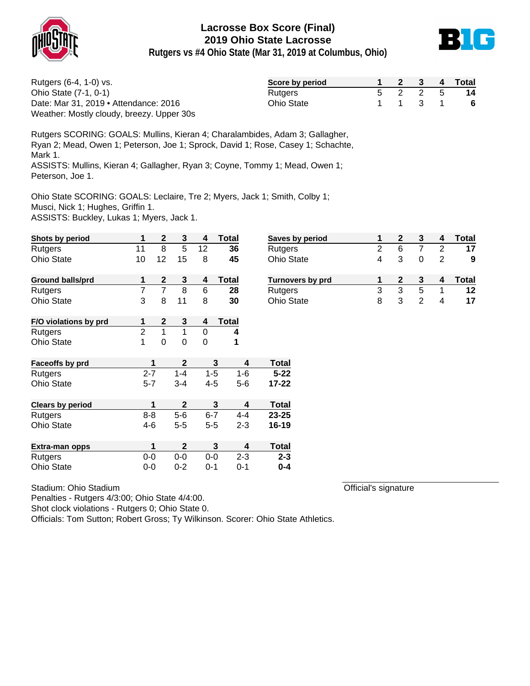



**Rutgers vs #4 Ohio State (Mar 31, 2019 at Columbus, Ohio)**

| Rutgers (6-4, 1-0) vs.                    | Score by period   |  |         | 2 3 4 Total |
|-------------------------------------------|-------------------|--|---------|-------------|
| Ohio State (7-1, 0-1)                     | Rutgers           |  | 5 2 2 5 | -14         |
| Date: Mar 31, 2019 • Attendance: 2016     | <b>Ohio State</b> |  | 1 1 3 1 | - 6         |
| Weather: Mostly cloudy, breezy. Upper 30s |                   |  |         |             |

Rutgers SCORING: GOALS: Mullins, Kieran 4; Charalambides, Adam 3; Gallagher, Ryan 2; Mead, Owen 1; Peterson, Joe 1; Sprock, David 1; Rose, Casey 1; Schachte, Mark 1. ASSISTS: Mullins, Kieran 4; Gallagher, Ryan 3; Coyne, Tommy 1; Mead, Owen 1;

Peterson, Joe 1.

Ohio State SCORING: GOALS: Leclaire, Tre 2; Myers, Jack 1; Smith, Colby 1;

Musci, Nick 1; Hughes, Griffin 1.

ASSISTS: Buckley, Lukas 1; Myers, Jack 1.

| Shots by period         | 1              | $\mathbf{2}$ | 3            | 4       | Total        | <b>Saves</b>      |
|-------------------------|----------------|--------------|--------------|---------|--------------|-------------------|
| Rutgers                 | 11             | 8            | 5            | 12      | 36           | Rutge             |
| <b>Ohio State</b>       | 10             | 12           | 15           | 8       | 45           | Ohio S            |
| <b>Ground balls/prd</b> | 1              | 2            | 3            | 4       | <b>Total</b> | Turno             |
| Rutgers                 | 7              | 7            | 8            | 6       | 28           | Rutge             |
| <b>Ohio State</b>       | 3              | 8            | 11           | 8       | 30           | Ohio S            |
| F/O violations by prd   | 1              | 2            | 3            | 4       | <b>Total</b> |                   |
| Rutgers                 | $\overline{2}$ | $\mathbf{1}$ | 1            | 0       | 4            |                   |
| <b>Ohio State</b>       | 1              | 0            | 0            | 0       | 1            |                   |
| Faceoffs by prd         | 1              |              | $\mathbf{2}$ |         | 3            | Total<br>4        |
| Rutgers                 | $2 - 7$        |              | $1 - 4$      | $1 - 5$ | $1 - 6$      | $5 - 22$          |
| <b>Ohio State</b>       | $5 - 7$        |              | $3 - 4$      | 4-5     | $5-6$        | 17-22             |
| <b>Clears by period</b> | 1              |              | $\mathbf{2}$ |         | 3            | Total<br>4        |
| Rutgers                 | $8 - 8$        |              | $5 - 6$      | $6 - 7$ | $4 - 4$      | 23-25             |
| <b>Ohio State</b>       | 4-6            |              | $5 - 5$      | $5 - 5$ | $2 - 3$      | 16-19             |
| Extra-man opps          | 1              |              | $\mathbf{2}$ |         | 3            | <b>Total</b><br>4 |
| Rutgers                 | $0-0$          |              | $0-0$        | $0-0$   | $2 - 3$      | $2 - 3$           |
| Ohio State              | $0 - 0$        |              | $0 - 2$      | $0 - 1$ | $0 - 1$      | $0 - 4$           |

| Stadium: Ohio Stadium |
|-----------------------|
|-----------------------|

Penalties - Rutgers 4/3:00; Ohio State 4/4:00.

Shot clock violations - Rutgers 0; Ohio State 0.

Officials: Tom Sutton; Robert Gross; Ty Wilkinson. Scorer: Ohio State Athletics.

| Saves by period         |   |   |   | Total |
|-------------------------|---|---|---|-------|
| Rutgers                 | 2 | 6 |   |       |
| <b>Ohio State</b>       | 4 | 3 |   | 9     |
|                         |   |   |   |       |
| <b>Turnovers by prd</b> |   |   |   | Total |
| Rutgers                 | 3 | з | 5 | 12    |

Official's signature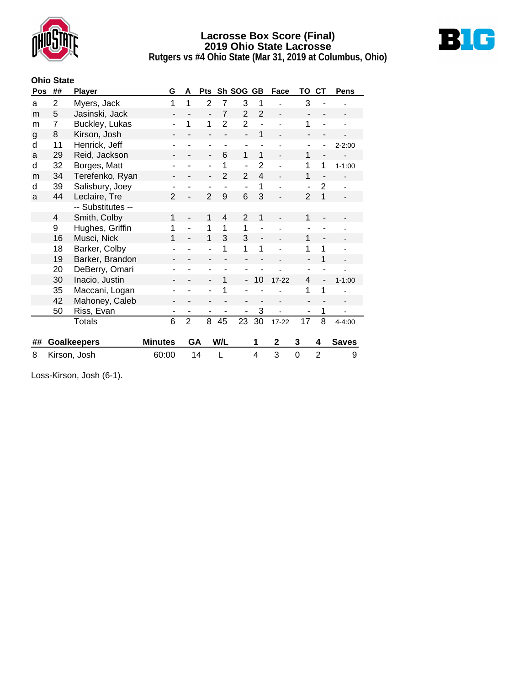



**Rutgers vs #4 Ohio State (Mar 31, 2019 at Columbus, Ohio)**

#### **Ohio State**

| Pos | ## | <b>Player</b>      | G                            | Sh SOG<br>A<br>Pts |                          |                | <b>GB</b>                | Face           | TO          | <b>CT</b>                | Pens                     |              |  |
|-----|----|--------------------|------------------------------|--------------------|--------------------------|----------------|--------------------------|----------------|-------------|--------------------------|--------------------------|--------------|--|
| a   | 2  | Myers, Jack        | 1                            | 1                  | $\overline{2}$           | 7              | 3                        | 1              |             | 3                        |                          |              |  |
| m   | 5  | Jasinski, Jack     | -                            |                    | $\overline{a}$           | $\overline{7}$ | $\overline{2}$           | $\overline{2}$ |             |                          |                          |              |  |
| m   | 7  | Buckley, Lukas     | ٠                            | 1                  | 1                        | $\overline{2}$ | $\overline{2}$           |                |             | 1                        |                          |              |  |
| g   | 8  | Kirson, Josh       |                              |                    |                          |                | $\overline{a}$           | 1              |             |                          |                          |              |  |
| d   | 11 | Henrick, Jeff      |                              |                    | ۰                        |                | ٠                        |                |             |                          |                          | $2 - 2:00$   |  |
| a   | 29 | Reid, Jackson      | $\qquad \qquad \blacksquare$ |                    | $\overline{\phantom{0}}$ | 6              | 1                        | 1              |             | 1                        | $\overline{\phantom{a}}$ |              |  |
| d   | 32 | Borges, Matt       |                              |                    | ۰                        | 1              | $\overline{a}$           | $\overline{2}$ |             | 1                        | 1                        | $1 - 1:00$   |  |
| m   | 34 | Terefenko, Ryan    |                              |                    | ۰                        | $\overline{2}$ | $\overline{2}$           | $\overline{4}$ |             | 1                        |                          |              |  |
| d   | 39 | Salisbury, Joey    |                              |                    | ۰                        |                | $\overline{a}$           | 1              |             | ÷,                       | $\overline{2}$           |              |  |
| a   | 44 | Leclaire, Tre      | $\overline{2}$               |                    | $\overline{2}$           | 9              | 6                        | 3              |             | $\overline{2}$           | 1                        |              |  |
|     |    | -- Substitutes --  |                              |                    |                          |                |                          |                |             |                          |                          |              |  |
|     | 4  | Smith, Colby       | 1                            |                    | 1                        | $\overline{4}$ | 2                        | 1              |             | 1                        |                          |              |  |
|     | 9  | Hughes, Griffin    | 1                            |                    | 1                        | $\mathbf 1$    | $\mathbf{1}$             | $\overline{a}$ |             | $\blacksquare$           |                          |              |  |
|     | 16 | Musci, Nick        | 1                            |                    | 1                        | 3              | 3                        |                |             | 1                        |                          |              |  |
|     | 18 | Barker, Colby      |                              |                    |                          | 1              | 1                        | 1              |             | 1                        | 1                        |              |  |
|     | 19 | Barker, Brandon    |                              |                    | $\overline{\phantom{0}}$ |                |                          |                |             | $\overline{\phantom{a}}$ | 1                        |              |  |
|     | 20 | DeBerry, Omari     |                              |                    |                          |                |                          |                |             |                          |                          |              |  |
|     | 30 | Inacio, Justin     | $\overline{\phantom{a}}$     |                    | ÷,                       | 1              | $\overline{\phantom{a}}$ | 10             | $17 - 22$   | 4                        | $\overline{\phantom{0}}$ | $1 - 1:00$   |  |
|     | 35 | Maccani, Logan     |                              |                    |                          | 1              |                          |                |             | 1                        | 1                        |              |  |
|     | 42 | Mahoney, Caleb     |                              |                    |                          |                |                          |                |             |                          |                          |              |  |
|     | 50 | Riss, Evan         | ۰                            |                    | ÷                        |                | ÷                        | 3              |             |                          | 1                        |              |  |
|     |    | <b>Totals</b>      | 6                            | $\overline{2}$     | 8                        | 45             | 23                       | 30             | 17-22       | 17                       | 8                        | $4 - 4:00$   |  |
|     |    |                    |                              |                    |                          |                |                          |                |             |                          |                          |              |  |
| ##  |    | <b>Goalkeepers</b> | <b>Minutes</b>               | GA                 |                          | W/L            |                          | 1              | $\mathbf 2$ | 3                        | 4                        | <b>Saves</b> |  |
| 8   |    | Kirson, Josh       | 60:00                        | 14                 |                          | L              |                          | 4              | 3           | $\mathbf 0$              | $\overline{2}$           | 9            |  |
|     |    |                    |                              |                    |                          |                |                          |                |             |                          |                          |              |  |

Loss-Kirson, Josh (6-1).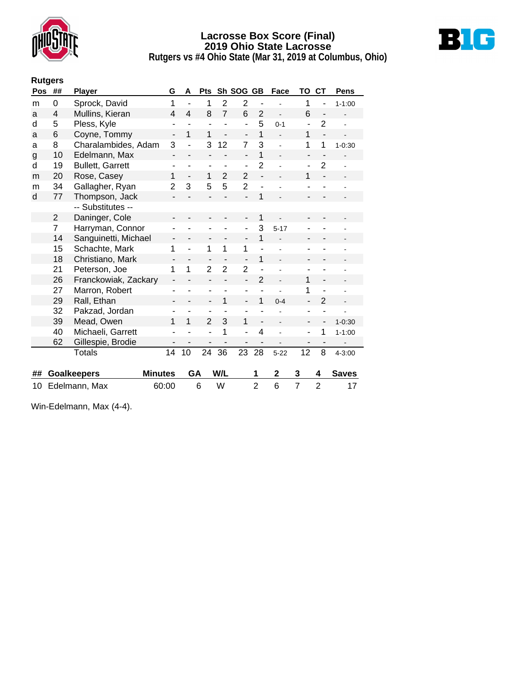



**Rutgers vs #4 Ohio State (Mar 31, 2019 at Columbus, Ohio)**

|     | <b>Rutgers</b> |                         |                          |                          |                          |                |                          |                |                |                          |                              |                |
|-----|----------------|-------------------------|--------------------------|--------------------------|--------------------------|----------------|--------------------------|----------------|----------------|--------------------------|------------------------------|----------------|
| Pos | ##             | <b>Player</b>           | G                        | A                        | <b>Pts</b>               |                | Sh SOG GB                |                | Face           | ΤО                       | <b>CT</b>                    | <b>Pens</b>    |
| m   | 0              | Sprock, David           | 1                        |                          | 1                        | $\overline{2}$ | $\overline{2}$           |                |                | 1                        | -                            | $1 - 1:00$     |
| a   | 4              | Mullins, Kieran         | 4                        | 4                        | 8                        | $\overline{7}$ | 6                        | $\overline{2}$ | $\overline{a}$ | 6                        | $\overline{a}$               |                |
| d   | 5              | Pless, Kyle             | ۰                        |                          | ä,                       |                | ÷,                       | 5              | $0 - 1$        | ÷                        | $\overline{2}$               |                |
| a   | 6              | Coyne, Tommy            | ÷,                       | 1                        | 1                        | $\overline{a}$ | -                        | 1              |                | 1                        | $\overline{a}$               |                |
| a   | 8              | Charalambides, Adam     | 3                        |                          | 3                        | 12             | 7                        | 3              |                | 1                        | 1                            | $1 - 0:30$     |
| g   | 10             | Edelmann, Max           | $\overline{\phantom{0}}$ | $\overline{\phantom{0}}$ | -                        | Ĭ.             | $\overline{\phantom{0}}$ | 1              | $\frac{1}{2}$  | $\overline{\phantom{0}}$ | $\qquad \qquad \blacksquare$ |                |
| d   | 19             | <b>Bullett, Garrett</b> |                          | ۰                        | ٠                        | ۰              | ٠                        | $\overline{2}$ |                | -                        | $\overline{2}$               |                |
| m   | 20             | Rose, Casey             | 1                        | $\overline{a}$           | 1                        | $\overline{2}$ | $\overline{2}$           |                |                | 1                        |                              |                |
| m   | 34             | Gallagher, Ryan         | $\overline{2}$           | 3                        | 5                        | 5              | $\overline{2}$           |                |                |                          |                              |                |
| d   | 77             | Thompson, Jack          |                          |                          |                          |                |                          | 1              |                |                          |                              |                |
|     |                | -- Substitutes --       |                          |                          |                          |                |                          |                |                |                          |                              |                |
|     | $\overline{2}$ | Daninger, Cole          |                          |                          |                          |                |                          | 1              |                |                          |                              |                |
|     | 7              | Harryman, Connor        |                          |                          |                          |                | ÷                        | 3              | $5 - 17$       |                          |                              |                |
|     | 14             | Sanguinetti, Michael    |                          |                          | -                        |                | -                        | 1              |                |                          |                              |                |
|     | 15             | Schachte, Mark          | 1                        | ÷,                       | 1                        | 1              | 1                        | L,             |                |                          |                              |                |
|     | 18             | Christiano, Mark        |                          |                          |                          |                |                          | 1              |                |                          |                              |                |
|     | 21             | Peterson, Joe           | 1                        | 1                        | $\overline{2}$           | $\overline{2}$ | $\overline{2}$           |                |                |                          | ۰                            |                |
|     | 26             | Franckowiak, Zackary    |                          |                          |                          |                |                          | $\overline{2}$ |                | 1                        |                              |                |
|     | 27             | Marron, Robert          |                          |                          | ä,                       |                | ۰                        |                |                | 1                        |                              | $\blacksquare$ |
|     | 29             | Rall, Ethan             |                          |                          | $\overline{\phantom{0}}$ | 1              | $\overline{a}$           | 1              | $0 - 4$        |                          | 2                            |                |
|     | 32             | Pakzad, Jordan          |                          |                          |                          |                |                          |                |                |                          |                              |                |
|     | 39             | Mead, Owen              | 1                        | 1                        | $\overline{2}$           | 3              | 1                        | $\overline{a}$ |                | -                        |                              | $1 - 0:30$     |
|     | 40             | Michaeli, Garrett       |                          |                          |                          | 1              |                          | 4              |                |                          | 1                            | $1 - 1:00$     |
|     | 62             | Gillespie, Brodie       |                          |                          |                          |                |                          |                |                | -                        | $\overline{\phantom{a}}$     |                |
|     |                | Totals                  | 14                       | 10                       | 24                       | 36             | 23                       | 28             | $5 - 22$       | 12                       | 8                            | $4 - 3:00$     |
|     |                |                         |                          |                          |                          |                |                          |                |                |                          |                              |                |
| ##  |                | <b>Goalkeepers</b>      | <b>Minutes</b>           | GA                       |                          | W/L            |                          | 1              | $\mathbf 2$    | 3                        | 4                            | <b>Saves</b>   |
| 10  | Edelmann, Max  |                         | 60:00                    |                          | 6                        | W              |                          | $\overline{2}$ | 6              | $\overline{7}$           | $\overline{2}$               | 17             |

Win-Edelmann, Max (4-4).